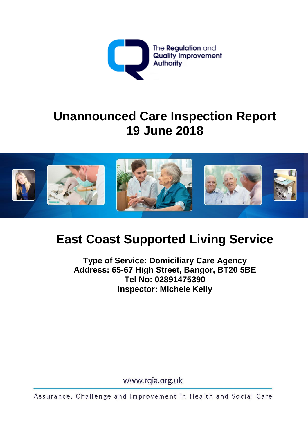

# **Unannounced Care Inspection Report 19 June 2018**



# **East Coast Supported Living Service**

**Type of Service: Domiciliary Care Agency Address: 65-67 High Street, Bangor, BT20 5BE Tel No: 02891475390 Inspector: Michele Kelly**

www.rqia.org.uk

Assurance, Challenge and Improvement in Health and Social Care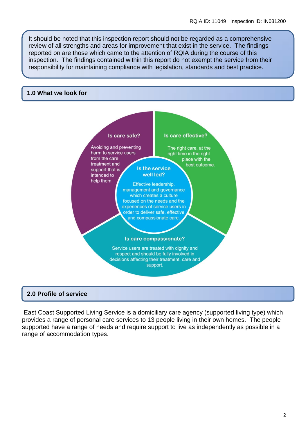It should be noted that this inspection report should not be regarded as a comprehensive review of all strengths and areas for improvement that exist in the service. The findings reported on are those which came to the attention of RQIA during the course of this inspection. The findings contained within this report do not exempt the service from their responsibility for maintaining compliance with legislation, standards and best practice.

#### **1.0 What we look for**



#### **2.0 Profile of service**

East Coast Supported Living Service is a domiciliary care agency (supported living type) which provides a range of personal care services to 13 people living in their own homes. The people supported have a range of needs and require support to live as independently as possible in a range of accommodation types.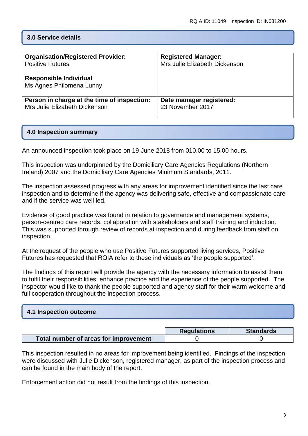# **3.0 Service details**

| <b>Organisation/Registered Provider:</b>                  | <b>Registered Manager:</b>    |
|-----------------------------------------------------------|-------------------------------|
| <b>Positive Futures</b>                                   | Mrs Julie Elizabeth Dickenson |
| <b>Responsible Individual</b><br>Ms Agnes Philomena Lunny |                               |
| Person in charge at the time of inspection:               | Date manager registered:      |
| Mrs Julie Elizabeth Dickenson                             | 23 November 2017              |

### **4.0 Inspection summary**

An announced inspection took place on 19 June 2018 from 010.00 to 15.00 hours.

This inspection was underpinned by the Domiciliary Care Agencies Regulations (Northern Ireland) 2007 and the Domiciliary Care Agencies Minimum Standards, 2011.

The inspection assessed progress with any areas for improvement identified since the last care inspection and to determine if the agency was delivering safe, effective and compassionate care and if the service was well led.

Evidence of good practice was found in relation to governance and management systems, person-centred care records, collaboration with stakeholders and staff training and induction. This was supported through review of records at inspection and during feedback from staff on inspection.

At the request of the people who use Positive Futures supported living services, Positive Futures has requested that RQIA refer to these individuals as 'the people supported'.

The findings of this report will provide the agency with the necessary information to assist them to fulfil their responsibilities, enhance practice and the experience of the people supported. The inspector would like to thank the people supported and agency staff for their warm welcome and full cooperation throughout the inspection process.

| 4.1 Inspection outcome |  |  |
|------------------------|--|--|
|                        |  |  |

|                                       | <b>Regulations</b> | <b>Standards</b> |
|---------------------------------------|--------------------|------------------|
| Total number of areas for improvement |                    |                  |

This inspection resulted in no areas for improvement being identified. Findings of the inspection were discussed with Julie Dickenson, registered manager, as part of the inspection process and can be found in the main body of the report.

Enforcement action did not result from the findings of this inspection.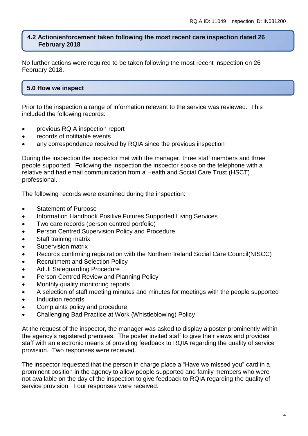#### **4.2 Action/enforcement taken following the most recent care inspection dated 26 February 2018**

No further actions were required to be taken following the most recent inspection on 26 February 2018.

# **5.0 How we inspect**

Prior to the inspection a range of information relevant to the service was reviewed. This included the following records:

- previous RQIA inspection report
- records of notifiable events
- any correspondence received by RQIA since the previous inspection

During the inspection the inspector met with the manager, three staff members and three people supported. Following the inspection the inspector spoke on the telephone with a relative and had email communication from a Health and Social Care Trust (HSCT) professional.

The following records were examined during the inspection:

- Statement of Purpose
- Information Handbook Positive Futures Supported Living Services
- Two care records (person centred portfolio)
- Person Centred Supervision Policy and Procedure
- Staff training matrix
- Supervision matrix
- Records confirming registration with the Northern Ireland Social Care Council(NISCC)
- Recruitment and Selection Policy
- Adult Safeguarding Procedure
- **Person Centred Review and Planning Policy**
- Monthly quality monitoring reports
- A selection of staff meeting minutes and minutes for meetings with the people supported
- Induction records
- Complaints policy and procedure
- Challenging Bad Practice at Work (Whistleblowing) Policy

At the request of the inspector, the manager was asked to display a poster prominently within the agency's registered premises. The poster invited staff to give their views and provides staff with an electronic means of providing feedback to RQIA regarding the quality of service provision. Two responses were received.

The inspector requested that the person in charge place a "Have we missed you" card in a prominent position in the agency to allow people supported and family members who were not available on the day of the inspection to give feedback to RQIA regarding the quality of service provision. Four responses were received.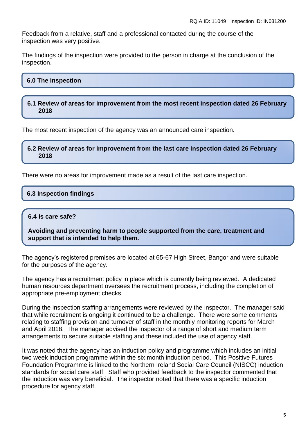Feedback from a relative, staff and a professional contacted during the course of the inspection was very positive.

The findings of the inspection were provided to the person in charge at the conclusion of the inspection.

#### **6.0 The inspection**

#### **6.1 Review of areas for improvement from the most recent inspection dated 26 February 2018**

The most recent inspection of the agency was an announced care inspection.

**6.2 Review of areas for improvement from the last care inspection dated 26 February 2018**

There were no areas for improvement made as a result of the last care inspection.

#### **6.3 Inspection findings**

#### **6.4 Is care safe?**

**Avoiding and preventing harm to people supported from the care, treatment and support that is intended to help them.**

The agency's registered premises are located at 65-67 High Street, Bangor and were suitable for the purposes of the agency.

The agency has a recruitment policy in place which is currently being reviewed. A dedicated human resources department oversees the recruitment process, including the completion of appropriate pre-employment checks.

During the inspection staffing arrangements were reviewed by the inspector. The manager said that while recruitment is ongoing it continued to be a challenge. There were some comments relating to staffing provision and turnover of staff in the monthly monitoring reports for March and April 2018. The manager advised the inspector of a range of short and medium term arrangements to secure suitable staffing and these included the use of agency staff.

It was noted that the agency has an induction policy and programme which includes an initial two week induction programme within the six month induction period. This Positive Futures Foundation Programme is linked to the Northern Ireland Social Care Council (NISCC) induction standards for social care staff. Staff who provided feedback to the inspector commented that the induction was very beneficial. The inspector noted that there was a specific induction procedure for agency staff.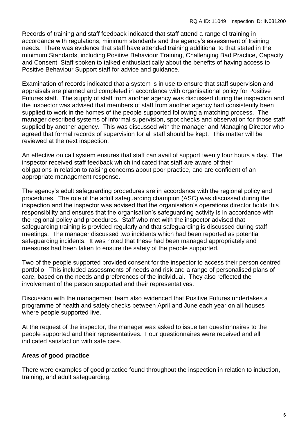Records of training and staff feedback indicated that staff attend a range of training in accordance with regulations, minimum standards and the agency's assessment of training needs. There was evidence that staff have attended training additional to that stated in the minimum Standards, including Positive Behaviour Training, Challenging Bad Practice, Capacity and Consent. Staff spoken to talked enthusiastically about the benefits of having access to Positive Behaviour Support staff for advice and guidance.

Examination of records indicated that a system is in use to ensure that staff supervision and appraisals are planned and completed in accordance with organisational policy for Positive Futures staff. The supply of staff from another agency was discussed during the inspection and the inspector was advised that members of staff from another agency had consistently been supplied to work in the homes of the people supported following a matching process. The manager described systems of informal supervision, spot checks and observation for those staff supplied by another agency. This was discussed with the manager and Managing Director who agreed that formal records of supervision for all staff should be kept. This matter will be reviewed at the next inspection.

An effective on call system ensures that staff can avail of support twenty four hours a day. The inspector received staff feedback which indicated that staff are aware of their obligations in relation to raising concerns about poor practice, and are confident of an appropriate management response.

The agency's adult safeguarding procedures are in accordance with the regional policy and procedures. The role of the adult safeguarding champion (ASC) was discussed during the inspection and the inspector was advised that the organisation's operations director holds this responsibility and ensures that the organisation's safeguarding activity is in accordance with the regional policy and procedures. Staff who met with the inspector advised that safeguarding training is provided regularly and that safeguarding is discussed during staff meetings. The manager discussed two incidents which had been reported as potential safeguarding incidents. It was noted that these had been managed appropriately and measures had been taken to ensure the safety of the people supported.

Two of the people supported provided consent for the inspector to access their person centred portfolio. This included assessments of needs and risk and a range of personalised plans of care, based on the needs and preferences of the individual. They also reflected the involvement of the person supported and their representatives.

Discussion with the management team also evidenced that Positive Futures undertakes a programme of health and safety checks between April and June each year on all houses where people supported live.

At the request of the inspector, the manager was asked to issue ten questionnaires to the people supported and their representatives. Four questionnaires were received and all indicated satisfaction with safe care.

#### **Areas of good practice**

There were examples of good practice found throughout the inspection in relation to induction, training, and adult safeguarding.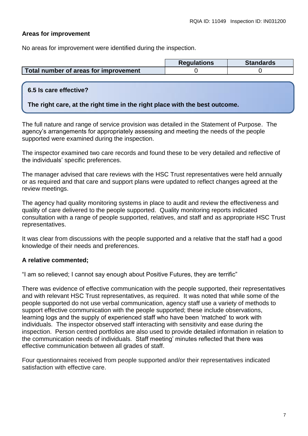# **Areas for improvement**

No areas for improvement were identified during the inspection.

|                                       | <b>Requlations</b> | <b>Standards</b> |
|---------------------------------------|--------------------|------------------|
| Total number of areas for improvement |                    |                  |

# **6.5 Is care effective?**

#### **The right care, at the right time in the right place with the best outcome.**

The full nature and range of service provision was detailed in the Statement of Purpose. The agency's arrangements for appropriately assessing and meeting the needs of the people supported were examined during the inspection.

The inspector examined two care records and found these to be very detailed and reflective of the individuals' specific preferences.

The manager advised that care reviews with the HSC Trust representatives were held annually or as required and that care and support plans were updated to reflect changes agreed at the review meetings.

The agency had quality monitoring systems in place to audit and review the effectiveness and quality of care delivered to the people supported. Quality monitoring reports indicated consultation with a range of people supported, relatives, and staff and as appropriate HSC Trust representatives.

It was clear from discussions with the people supported and a relative that the staff had a good knowledge of their needs and preferences.

# **A relative commented;**

"I am so relieved; I cannot say enough about Positive Futures, they are terrific"

There was evidence of effective communication with the people supported, their representatives and with relevant HSC Trust representatives, as required. It was noted that while some of the people supported do not use verbal communication, agency staff use a variety of methods to support effective communication with the people supported; these include observations, learning logs and the supply of experienced staff who have been 'matched' to work with individuals. The inspector observed staff interacting with sensitivity and ease during the inspection. Person centred portfolios are also used to provide detailed information in relation to the communication needs of individuals. Staff meeting' minutes reflected that there was effective communication between all grades of staff.

Four questionnaires received from people supported and/or their representatives indicated satisfaction with effective care.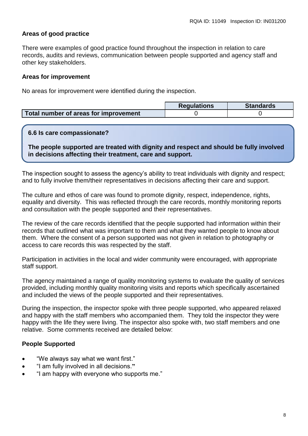# **Areas of good practice**

There were examples of good practice found throughout the inspection in relation to care records, audits and reviews, communication between people supported and agency staff and other key stakeholders.

#### **Areas for improvement**

No areas for improvement were identified during the inspection.

|                                       | <b>Regulations</b> | Standards |
|---------------------------------------|--------------------|-----------|
| Total number of areas for improvement |                    |           |

#### **6.6 Is care compassionate?**

**The people supported are treated with dignity and respect and should be fully involved in decisions affecting their treatment, care and support.**

The inspection sought to assess the agency's ability to treat individuals with dignity and respect; and to fully involve them/their representatives in decisions affecting their care and support.

The culture and ethos of care was found to promote dignity, respect, independence, rights, equality and diversity. This was reflected through the care records, monthly monitoring reports and consultation with the people supported and their representatives.

The review of the care records identified that the people supported had information within their records that outlined what was important to them and what they wanted people to know about them. Where the consent of a person supported was not given in relation to photography or access to care records this was respected by the staff.

Participation in activities in the local and wider community were encouraged, with appropriate staff support.

The agency maintained a range of quality monitoring systems to evaluate the quality of services provided, including monthly quality monitoring visits and reports which specifically ascertained and included the views of the people supported and their representatives.

During the inspection, the inspector spoke with three people supported, who appeared relaxed and happy with the staff members who accompanied them. They told the inspector they were happy with the life they were living. The inspector also spoke with, two staff members and one relative. Some comments received are detailed below:

# **People Supported**

- "We always say what we want first."
- "I am fully involved in all decisions.**"**
- "I am happy with everyone who supports me."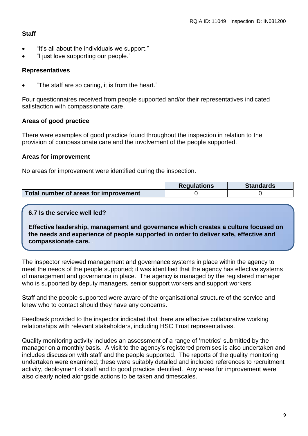# **Staff**

- "It's all about the individuals we support."
- "I just love supporting our people."

## **Representatives**

"The staff are so caring, it is from the heart."

Four questionnaires received from people supported and/or their representatives indicated satisfaction with compassionate care.

# **Areas of good practice**

There were examples of good practice found throughout the inspection in relation to the provision of compassionate care and the involvement of the people supported.

### **Areas for improvement**

No areas for improvement were identified during the inspection.

|                                       | <b>Regulations</b> | <b>Standards</b> |
|---------------------------------------|--------------------|------------------|
| Total number of areas for improvement |                    |                  |

#### **6.7 Is the service well led?**

**Effective leadership, management and governance which creates a culture focused on the needs and experience of people supported in order to deliver safe, effective and compassionate care.** .

The inspector reviewed management and governance systems in place within the agency to meet the needs of the people supported; it was identified that the agency has effective systems of management and governance in place. The agency is managed by the registered manager who is supported by deputy managers, senior support workers and support workers.

Staff and the people supported were aware of the organisational structure of the service and knew who to contact should they have any concerns.

Feedback provided to the inspector indicated that there are effective collaborative working relationships with relevant stakeholders, including HSC Trust representatives.

Quality monitoring activity includes an assessment of a range of 'metrics' submitted by the manager on a monthly basis. A visit to the agency's registered premises is also undertaken and includes discussion with staff and the people supported. The reports of the quality monitoring undertaken were examined; these were suitably detailed and included references to recruitment activity, deployment of staff and to good practice identified. Any areas for improvement were also clearly noted alongside actions to be taken and timescales.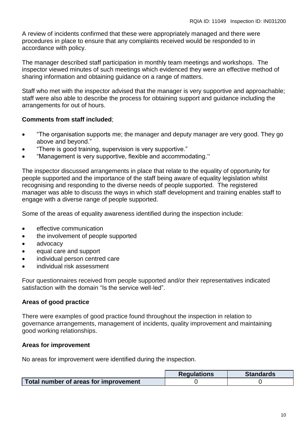A review of incidents confirmed that these were appropriately managed and there were procedures in place to ensure that any complaints received would be responded to in accordance with policy.

The manager described staff participation in monthly team meetings and workshops. The inspector viewed minutes of such meetings which evidenced they were an effective method of sharing information and obtaining guidance on a range of matters.

Staff who met with the inspector advised that the manager is very supportive and approachable; staff were also able to describe the process for obtaining support and guidance including the arrangements for out of hours.

# **Comments from staff included**;

- "The organisation supports me; the manager and deputy manager are very good. They go above and beyond."
- "There is good training, supervision is very supportive."
- "Management is very supportive, flexible and accommodating."

The inspector discussed arrangements in place that relate to the equality of opportunity for people supported and the importance of the staff being aware of equality legislation whilst recognising and responding to the diverse needs of people supported. The registered manager was able to discuss the ways in which staff development and training enables staff to engage with a diverse range of people supported.

Some of the areas of equality awareness identified during the inspection include:

- **e** effective communication
- the involvement of people supported
- advocacy
- equal care and support
- individual person centred care
- individual risk assessment

Four questionnaires received from people supported and/or their representatives indicated satisfaction with the domain "Is the service well-led".

# **Areas of good practice**

There were examples of good practice found throughout the inspection in relation to governance arrangements, management of incidents, quality improvement and maintaining good working relationships.

#### **Areas for improvement**

No areas for improvement were identified during the inspection.

|                                       | <b>Regulations</b> | <b>Standards</b> |
|---------------------------------------|--------------------|------------------|
| Total number of areas for improvement |                    |                  |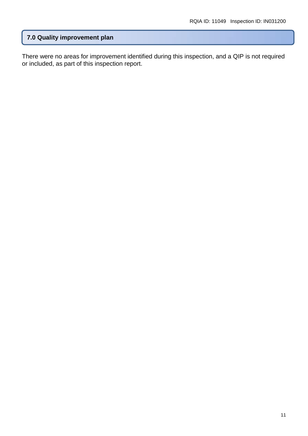# **7.0 Quality improvement plan**

There were no areas for improvement identified during this inspection, and a QIP is not required or included, as part of this inspection report.